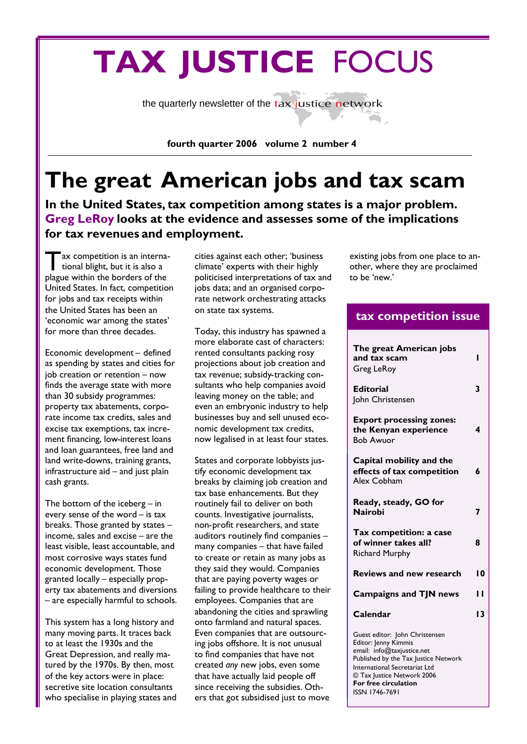# **TAX JUSTICE** FOCUS

the quarterly newsletter of the tax justice network

**fourth quarter 2006 volume 2 number 4**

## **The great American jobs and tax scam**

**In the United States, tax competition among states is a major problem. Greg LeRoy looks at the evidence and assesses some of the implications for tax revenues and employment.**

ax competition is an interna-<br>tional blight, but it is also a ax competition is an internaplague within the borders of the United States. In fact, competition for jobs and tax receipts within the United States has been an 'economic war among the states' for more than three decades.

Economic development – defined as spending by states and cities for job creation or retention – now finds the average state with more than 30 subsidy programmes: property tax abatements, corporate income tax credits, sales and excise tax exemptions, tax increment financing, low-interest loans and loan guarantees, free land and land write-downs, training grants, infrastructure aid – and just plain cash grants.

The bottom of the iceberg – in every sense of the word – is tax breaks. Those granted by states – income, sales and excise – are the least visible, least accountable, and most corrosive ways states fund economic development. Those granted locally – especially property tax abatements and diversions – are especially harmful to schools.

This system has a long history and many moving parts. It traces back to at least the 1930s and the Great Depression, and really matured by the 1970s. By then, most of the key actors were in place: secretive site location consultants who specialise in playing states and cities against each other; 'business climate' experts with their highly politicised interpretations of tax and jobs data; and an organised corporate network orchestrating attacks on state tax systems.

Today, this industry has spawned a more elaborate cast of characters: rented consultants packing rosy projections about job creation and tax revenue; subsidy-tracking consultants who help companies avoid leaving money on the table; and even an embryonic industry to help businesses buy and sell unused economic development tax credits, now legalised in at least four states.

States and corporate lobbyists justify economic development tax breaks by claiming job creation and tax base enhancements. But they routinely fail to deliver on both counts. Investigative journalists, non-profit researchers, and state auditors routinely find companies – many companies – that have failed to create or retain as many jobs as they said they would. Companies that are paying poverty wages or failing to provide healthcare to their employees. Companies that are abandoning the cities and sprawling onto farmland and natural spaces. Even companies that are outsourcing jobs offshore. It is not unusual to find companies that have not created *any* new jobs, even some that have actually laid people off since receiving the subsidies. Others that got subsidised just to move

existing jobs from one place to another, where they are proclaimed to be 'new.'

### **tax competition issue**

| The great American jobs<br>and tax scam<br>Greg LeRoy                                                                                                         | ı  |
|---------------------------------------------------------------------------------------------------------------------------------------------------------------|----|
| <b>Editorial</b><br>John Christensen                                                                                                                          | 3  |
| <b>Export processing zones:</b><br>the Kenyan experience<br><b>Bob Awuor</b>                                                                                  | 4  |
| Capital mobility and the<br>effects of tax competition<br>Alex Cobham                                                                                         | 6  |
| Ready, steady, GO for<br><b>Nairobi</b>                                                                                                                       | 7  |
| Tax competition: a case<br>of winner takes all?<br><b>Richard Murphy</b>                                                                                      | 8  |
| <b>Reviews and new research</b>                                                                                                                               | ۱0 |
| <b>Campaigns and TJN news</b>                                                                                                                                 | п  |
| Calendar                                                                                                                                                      | 13 |
| Guest editor: John Christensen<br>Editor: Jenny Kimmis<br>email: info@taxjustice.net<br>Published by the Tax Justice Network<br>International Secretariat Ltd |    |

© Tax Justice Network 2006 **For free circulation** ISSN 1746-7691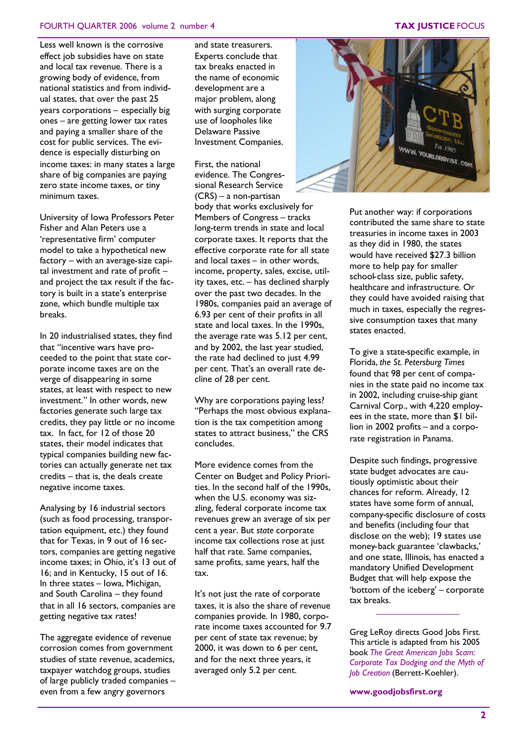#### FOURTH QUARTER 2006 volume 2 number 4 **TAX JUSTICE** FOCUS

Less well known is the corrosive effect job subsidies have on state and local tax revenue. There is a growing body of evidence, from national statistics and from individual states, that over the past 25 years corporations – especially big ones – are getting lower tax rates and paying a smaller share of the cost for public services. The evidence is especially disturbing on income taxes: in many states a large share of big companies are paying zero state income taxes, or tiny minimum taxes.

University of Iowa Professors Peter Fisher and Alan Peters use a 'representative firm' computer model to take a hypothetical new factory – with an average-size capital investment and rate of profit – and project the tax result if the factory is built in a state's enterprise zone, which bundle multiple tax breaks.

In 20 industrialised states, they find that "incentive wars have proceeded to the point that state corporate income taxes are on the verge of disappearing in some states, at least with respect to new investment." In other words, new factories generate such large tax credits, they pay little or no income tax. In fact, for 12 of those 20 states, their model indicates that typical companies building new factories can actually generate net tax credits – that is, the deals create negative income taxes.

Analysing by 16 industrial sectors (such as food processing, transportation equipment, etc.) they found that for Texas, in 9 out of 16 sectors, companies are getting negative income taxes; in Ohio, it's 13 out of 16; and in Kentucky, 15 out of 16. In three states – Iowa, Michigan, and South Carolina – they found that in all 16 sectors, companies are getting negative tax rates!

The aggregate evidence of revenue corrosion comes from government studies of state revenue, academics, taxpayer watchdog groups, studies of large publicly traded companies – even from a few angry governors

and state treasurers. Experts conclude that tax breaks enacted in the name of economic development are a major problem, along with surging corporate use of loopholes like Delaware Passive Investment Companies.

### First, the national

evidence. The Congressional Research Service (CRS) – a non-partisan body that works exclusively for

Members of Congress – tracks long-term trends in state and local corporate taxes. It reports that the effective corporate rate for all state and local taxes – in other words, income, property, sales, excise, utility taxes, etc. – has declined sharply over the past two decades. In the 1980s, companies paid an average of 6.93 per cent of their profits in all state and local taxes. In the 1990s, the average rate was 5.12 per cent, and by 2002, the last year studied, the rate had declined to just 4.99 per cent. That's an overall rate decline of 28 per cent.

Why are corporations paying less? "Perhaps the most obvious explanation is the tax competition among states to attract business," the CRS concludes.

More evidence comes from the Center on Budget and Policy Priorities. In the second half of the 1990s, when the U.S. economy was sizzling, federal corporate income tax revenues grew an average of six per cent a year. But *state* corporate income tax collections rose at just half that rate. Same companies, same profits, same years, half the tax.

It's not just the rate of corporate taxes, it is also the share of revenue companies provide. In 1980, corporate income taxes accounted for 9.7 per cent of state tax revenue; by 2000, it was down to 6 per cent, and for the next three years, it averaged only 5.2 per cent.



Put another way: if corporations contributed the same share to state treasuries in income taxes in 2003 as they did in 1980, the states would have received \$27.3 billion more to help pay for smaller school-class size, public safety, healthcare and infrastructure. Or they could have avoided raising that much in taxes, especially the regressive consumption taxes that many states enacted.

To give a state-specific example, in Florida, *the St. Petersburg Times* found that 98 per cent of companies in the state paid no income tax in 2002, including cruise-ship giant Carnival Corp., with 4,220 employees in the state, more than \$1 billion in 2002 profits – and a corporate registration in Panama.

Despite such findings, progressive state budget advocates are cautiously optimistic about their chances for reform. Already, 12 states have some form of annual, company-specific disclosure of costs and benefits (including four that disclose on the web); 19 states use money-back guarantee 'clawbacks,' and one state, Illinois, has enacted a mandatory Unified Development Budget that will help expose the 'bottom of the iceberg' – corporate tax breaks.

Greg LeRoy directs Good Jobs First. This article is adapted from his 2005 book *The Great American Jobs Scam: Corporate Tax Dodging and the Myth of Job Creation* (Berrett-Koehler).

**www.goodjobsfirst.org**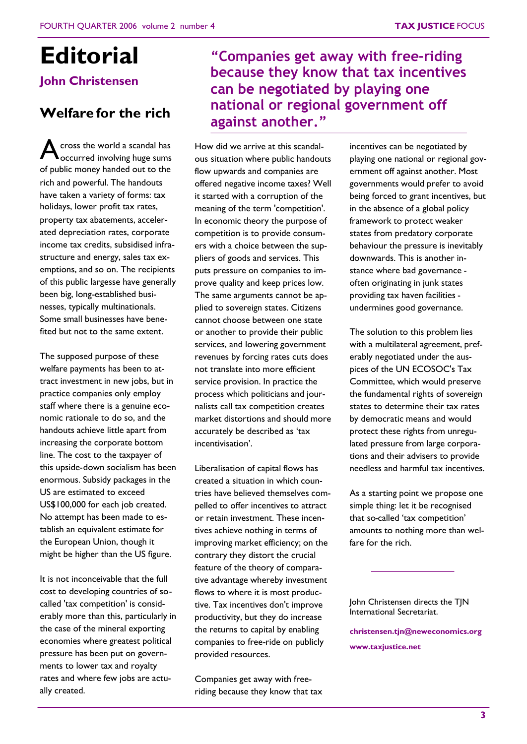# **Editorial**

**John Christensen**

## **Welfare for the rich**

 $\bigwedge^{\text{cross the world a scalar has}}$ occurred involving huge sums of public money handed out to the rich and powerful. The handouts have taken a variety of forms: tax holidays, lower profit tax rates, property tax abatements, accelerated depreciation rates, corporate income tax credits, subsidised infrastructure and energy, sales tax exemptions, and so on. The recipients of this public largesse have generally been big, long-established businesses, typically multinationals. Some small businesses have benefited but not to the same extent.

The supposed purpose of these welfare payments has been to attract investment in new jobs, but in practice companies only employ staff where there is a genuine economic rationale to do so, and the handouts achieve little apart from increasing the corporate bottom line. The cost to the taxpayer of this upside-down socialism has been enormous. Subsidy packages in the US are estimated to exceed US\$100,000 for each job created. No attempt has been made to establish an equivalent estimate for the European Union, though it might be higher than the US figure.

It is not inconceivable that the full cost to developing countries of socalled 'tax competition' is considerably more than this, particularly in the case of the mineral exporting economies where greatest political pressure has been put on governments to lower tax and royalty rates and where few jobs are actually created.

## **"Companies get away with free-riding because they know that tax incentives can be negotiated by playing one national or regional government off against another."**

How did we arrive at this scandalous situation where public handouts flow upwards and companies are offered negative income taxes? Well it started with a corruption of the meaning of the term 'competition'. In economic theory the purpose of competition is to provide consumers with a choice between the suppliers of goods and services. This puts pressure on companies to improve quality and keep prices low. The same arguments cannot be applied to sovereign states. Citizens cannot choose between one state or another to provide their public services, and lowering government revenues by forcing rates cuts does not translate into more efficient service provision. In practice the process which politicians and journalists call tax competition creates market distortions and should more accurately be described as 'tax incentivisation'.

Liberalisation of capital flows has created a situation in which countries have believed themselves compelled to offer incentives to attract or retain investment. These incentives achieve nothing in terms of improving market efficiency; on the contrary they distort the crucial feature of the theory of comparative advantage whereby investment flows to where it is most productive. Tax incentives don't improve productivity, but they do increase the returns to capital by enabling companies to free-ride on publicly provided resources.

Companies get away with freeriding because they know that tax

incentives can be negotiated by playing one national or regional government off against another. Most governments would prefer to avoid being forced to grant incentives, but in the absence of a global policy framework to protect weaker states from predatory corporate behaviour the pressure is inevitably downwards. This is another instance where bad governance often originating in junk states providing tax haven facilities undermines good governance.

The solution to this problem lies with a multilateral agreement, preferably negotiated under the auspices of the UN ECOSOC's Tax Committee, which would preserve the fundamental rights of sovereign states to determine their tax rates by democratic means and would protect these rights from unregulated pressure from large corporations and their advisers to provide needless and harmful tax incentives.

As a starting point we propose one simple thing: let it be recognised that so-called 'tax competition' amounts to nothing more than welfare for the rich.

John Christensen directs the TJN International Secretariat.

**christensen.tjn@neweconomics.org www.taxjustice.net**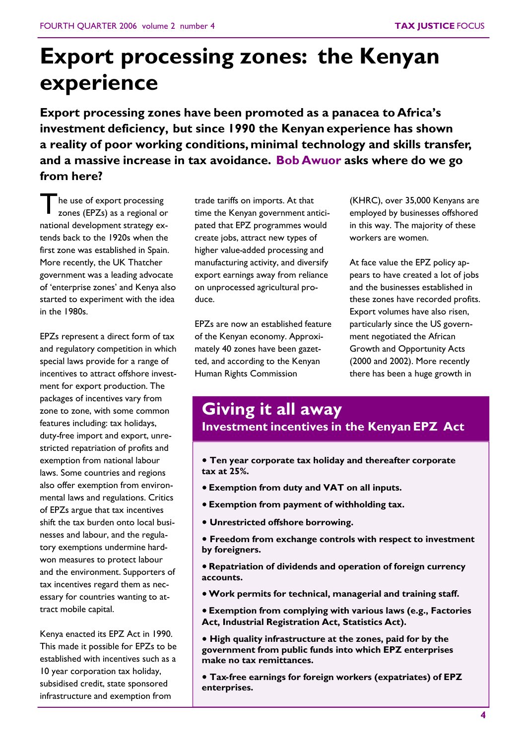## **Export processing zones: the Kenyan experience**

**Export processing zones have been promoted as a panacea to Africa's investment deficiency, but since 1990 the Kenyan experience has shown a reality of poor working conditions, minimal technology and skills transfer, and a massive increase in tax avoidance. Bob Awuor asks where do we go from here?**

T he use of export processing zones (EPZs) as a regional or national development strategy extends back to the 1920s when the first zone was established in Spain. More recently, the UK Thatcher government was a leading advocate of 'enterprise zones' and Kenya also started to experiment with the idea in the 1980s.

EPZs represent a direct form of tax and regulatory competition in which special laws provide for a range of incentives to attract offshore investment for export production. The packages of incentives vary from zone to zone, with some common features including: tax holidays, duty-free import and export, unrestricted repatriation of profits and exemption from national labour laws. Some countries and regions also offer exemption from environmental laws and regulations. Critics of EPZs argue that tax incentives shift the tax burden onto local businesses and labour, and the regulatory exemptions undermine hardwon measures to protect labour and the environment. Supporters of tax incentives regard them as necessary for countries wanting to attract mobile capital.

Kenya enacted its EPZ Act in 1990. This made it possible for EPZs to be established with incentives such as a 10 year corporation tax holiday, subsidised credit, state sponsored infrastructure and exemption from

trade tariffs on imports. At that time the Kenyan government anticipated that EPZ programmes would create jobs, attract new types of higher value-added processing and manufacturing activity, and diversify export earnings away from reliance on unprocessed agricultural produce.

EPZs are now an established feature of the Kenyan economy. Approximately 40 zones have been gazetted, and according to the Kenyan Human Rights Commission

(KHRC), over 35,000 Kenyans are employed by businesses offshored in this way. The majority of these workers are women.

At face value the EPZ policy appears to have created a lot of jobs and the businesses established in these zones have recorded profits. Export volumes have also risen, particularly since the US government negotiated the African Growth and Opportunity Acts (2000 and 2002). More recently there has been a huge growth in

## **Giving it all away Investment incentives in the Kenyan EPZ Act**

- **Ten year corporate tax holiday and thereafter corporate tax at 25%.**
- **Exemption from duty and VAT on all inputs.**
- **Exemption from payment of withholding tax.**
- **Unrestricted offshore borrowing.**
- **Freedom from exchange controls with respect to investment by foreigners.**
- **Repatriation of dividends and operation of foreign currency accounts.**
- **Work permits for technical, managerial and training staff.**
- **Exemption from complying with various laws (e.g., Factories Act, Industrial Registration Act, Statistics Act).**
- **High quality infrastructure at the zones, paid for by the government from public funds into which EPZ enterprises make no tax remittances.**
- **Tax-free earnings for foreign workers (expatriates) of EPZ enterprises.**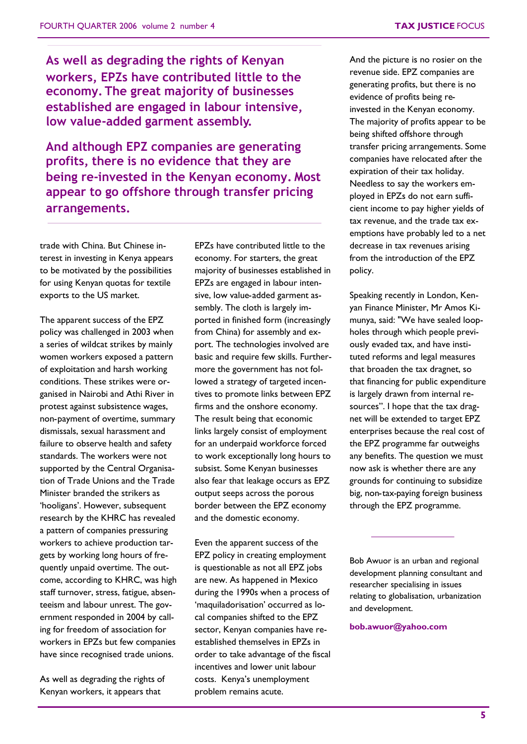**As well as degrading the rights of Kenyan workers, EPZs have contributed little to the economy. The great majority of businesses established are engaged in labour intensive, low value-added garment assembly.**

**And although EPZ companies are generating profits, there is no evidence that they are being re-invested in the Kenyan economy. Most appear to go offshore through transfer pricing arrangements.**

trade with China. But Chinese interest in investing in Kenya appears to be motivated by the possibilities for using Kenyan quotas for textile exports to the US market.

The apparent success of the EPZ policy was challenged in 2003 when a series of wildcat strikes by mainly women workers exposed a pattern of exploitation and harsh working conditions. These strikes were organised in Nairobi and Athi River in protest against subsistence wages, non-payment of overtime, summary dismissals, sexual harassment and failure to observe health and safety standards. The workers were not supported by the Central Organisation of Trade Unions and the Trade Minister branded the strikers as 'hooligans'. However, subsequent research by the KHRC has revealed a pattern of companies pressuring workers to achieve production targets by working long hours of frequently unpaid overtime. The outcome, according to KHRC, was high staff turnover, stress, fatigue, absenteeism and labour unrest. The government responded in 2004 by calling for freedom of association for workers in EPZs but few companies have since recognised trade unions.

As well as degrading the rights of Kenyan workers, it appears that

EPZs have contributed little to the economy. For starters, the great majority of businesses established in EPZs are engaged in labour intensive, low value-added garment assembly. The cloth is largely imported in finished form (increasingly from China) for assembly and export. The technologies involved are basic and require few skills. Furthermore the government has not followed a strategy of targeted incentives to promote links between EPZ firms and the onshore economy. The result being that economic links largely consist of employment for an underpaid workforce forced to work exceptionally long hours to subsist. Some Kenyan businesses also fear that leakage occurs as EPZ output seeps across the porous border between the EPZ economy and the domestic economy.

Even the apparent success of the EPZ policy in creating employment is questionable as not all EPZ jobs are new. As happened in Mexico during the 1990s when a process of 'maquiladorisation' occurred as local companies shifted to the EPZ sector, Kenyan companies have reestablished themselves in EPZs in order to take advantage of the fiscal incentives and lower unit labour costs. Kenya's unemployment problem remains acute.

And the picture is no rosier on the revenue side. EPZ companies are generating profits, but there is no evidence of profits being reinvested in the Kenyan economy. The majority of profits appear to be being shifted offshore through transfer pricing arrangements. Some companies have relocated after the expiration of their tax holiday. Needless to say the workers employed in EPZs do not earn sufficient income to pay higher yields of tax revenue, and the trade tax exemptions have probably led to a net decrease in tax revenues arising from the introduction of the EPZ policy.

Speaking recently in London, Kenyan Finance Minister, Mr Amos Kimunya, said: "We have sealed loopholes through which people previously evaded tax, and have instituted reforms and legal measures that broaden the tax dragnet, so that financing for public expenditure is largely drawn from internal resources". I hope that the tax dragnet will be extended to target EPZ enterprises because the real cost of the EPZ programme far outweighs any benefits. The question we must now ask is whether there are any grounds for continuing to subsidize big, non-tax-paying foreign business through the EPZ programme.

Bob Awuor is an urban and regional development planning consultant and researcher specialising in issues relating to globalisation, urbanization and development.

#### **bob.awuor@yahoo.com**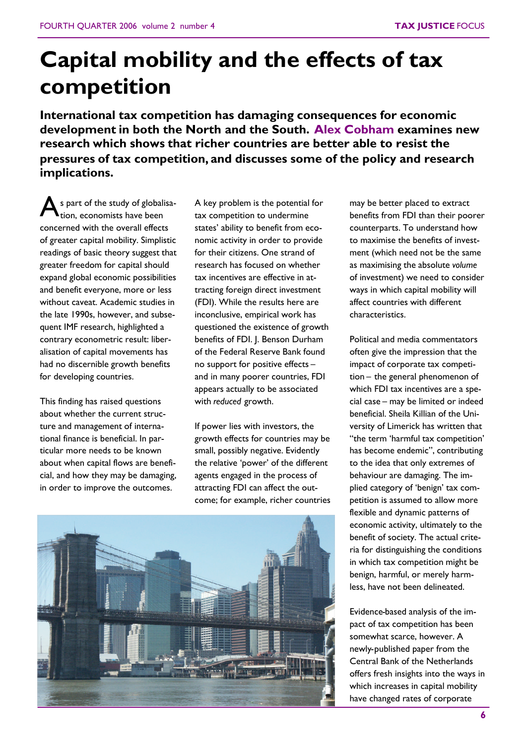## **Capital mobility and the effects of tax competition**

**International tax competition has damaging consequences for economic development in both the North and the South. Alex Cobham examines new research which shows that richer countries are better able to resist the pressures of tax competition, and discusses some of the policy and research implications.**

A s part of the study of globalisation, economists have been concerned with the overall effects of greater capital mobility. Simplistic readings of basic theory suggest that greater freedom for capital should expand global economic possibilities and benefit everyone, more or less without caveat. Academic studies in the late 1990s, however, and subsequent IMF research, highlighted a contrary econometric result: liberalisation of capital movements has had no discernible growth benefits for developing countries.

This finding has raised questions about whether the current structure and management of international finance is beneficial. In particular more needs to be known about when capital flows are beneficial, and how they may be damaging, in order to improve the outcomes.

A key problem is the potential for tax competition to undermine states' ability to benefit from economic activity in order to provide for their citizens. One strand of research has focused on whether tax incentives are effective in attracting foreign direct investment (FDI). While the results here are inconclusive, empirical work has questioned the existence of growth benefits of FDI. J. Benson Durham of the Federal Reserve Bank found no support for positive effects – and in many poorer countries, FDI appears actually to be associated with *reduced* growth.

If power lies with investors, the growth effects for countries may be small, possibly negative. Evidently the relative 'power' of the different agents engaged in the process of attracting FDI can affect the outcome; for example, richer countries



may be better placed to extract benefits from FDI than their poorer counterparts. To understand how to maximise the benefits of investment (which need not be the same as maximising the absolute *volume* of investment) we need to consider ways in which capital mobility will affect countries with different characteristics.

Political and media commentators often give the impression that the impact of corporate tax competition – the general phenomenon of which FDI tax incentives are a special case – may be limited or indeed beneficial. Sheila Killian of the University of Limerick has written that "the term 'harmful tax competition' has become endemic", contributing to the idea that only extremes of behaviour are damaging. The implied category of 'benign' tax competition is assumed to allow more flexible and dynamic patterns of economic activity, ultimately to the benefit of society. The actual criteria for distinguishing the conditions in which tax competition might be benign, harmful, or merely harmless, have not been delineated.

Evidence-based analysis of the impact of tax competition has been somewhat scarce, however. A newly-published paper from the Central Bank of the Netherlands offers fresh insights into the ways in which increases in capital mobility have changed rates of corporate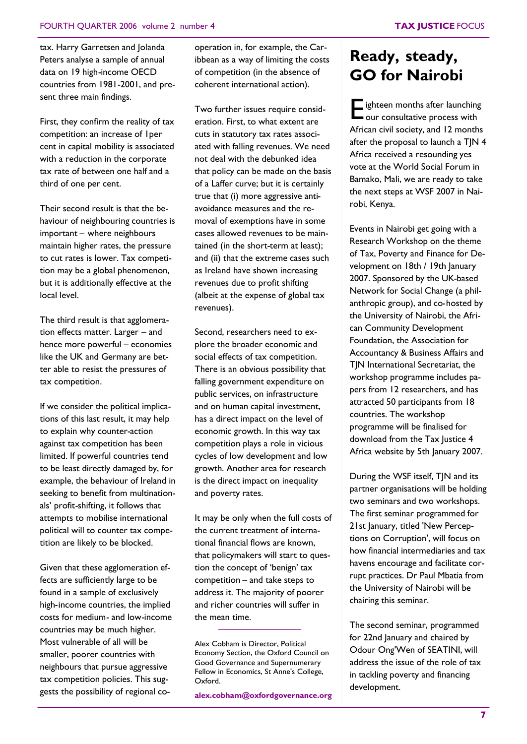tax. Harry Garretsen and Jolanda Peters analyse a sample of annual data on 19 high-income OECD countries from 1981-2001, and present three main findings.

First, they confirm the reality of tax competition: an increase of 1per cent in capital mobility is associated with a reduction in the corporate tax rate of between one half and a third of one per cent.

Their second result is that the behaviour of neighbouring countries is important – where neighbours maintain higher rates, the pressure to cut rates is lower. Tax competition may be a global phenomenon, but it is additionally effective at the local level.

The third result is that agglomeration effects matter. Larger – and hence more powerful – economies like the UK and Germany are better able to resist the pressures of tax competition.

If we consider the political implications of this last result, it may help to explain why counter-action against tax competition has been limited. If powerful countries tend to be least directly damaged by, for example, the behaviour of Ireland in seeking to benefit from multinationals' profit-shifting, it follows that attempts to mobilise international political will to counter tax competition are likely to be blocked.

Given that these agglomeration effects are sufficiently large to be found in a sample of exclusively high-income countries, the implied costs for medium- and low-income countries may be much higher. Most vulnerable of all will be smaller, poorer countries with neighbours that pursue aggressive tax competition policies. This suggests the possibility of regional cooperation in, for example, the Caribbean as a way of limiting the costs of competition (in the absence of coherent international action).

Two further issues require consideration. First, to what extent are cuts in statutory tax rates associated with falling revenues. We need not deal with the debunked idea that policy can be made on the basis of a Laffer curve; but it is certainly true that (i) more aggressive antiavoidance measures and the removal of exemptions have in some cases allowed revenues to be maintained (in the short-term at least); and (ii) that the extreme cases such as Ireland have shown increasing revenues due to profit shifting (albeit at the expense of global tax revenues).

Second, researchers need to explore the broader economic and social effects of tax competition. There is an obvious possibility that falling government expenditure on public services, on infrastructure and on human capital investment, has a direct impact on the level of economic growth. In this way tax competition plays a role in vicious cycles of low development and low growth. Another area for research is the direct impact on inequality and poverty rates.

It may be only when the full costs of the current treatment of international financial flows are known, that policymakers will start to question the concept of 'benign' tax competition – and take steps to address it. The majority of poorer and richer countries will suffer in the mean time.

**alex.cobham@oxfordgovernance.org**

## **Ready, steady, GO for Nairobi**

Eighteen months after launching<br>
our consultative process with our consultative process with African civil society, and 12 months after the proposal to launch a TJN 4 Africa received a resounding yes vote at the World Social Forum in Bamako, Mali, we are ready to take the next steps at WSF 2007 in Nairobi, Kenya.

Events in Nairobi get going with a Research Workshop on the theme of Tax, Poverty and Finance for Development on 18th / 19th January 2007. Sponsored by the UK-based Network for Social Change (a philanthropic group), and co-hosted by the University of Nairobi, the African Community Development Foundation, the Association for Accountancy & Business Affairs and TJN International Secretariat, the workshop programme includes papers from 12 researchers, and has attracted 50 participants from 18 countries. The workshop programme will be finalised for download from the Tax Justice 4 Africa website by 5th January 2007.

During the WSF itself, TJN and its partner organisations will be holding two seminars and two workshops. The first seminar programmed for 21st January, titled 'New Perceptions on Corruption', will focus on how financial intermediaries and tax havens encourage and facilitate corrupt practices. Dr Paul Mbatia from the University of Nairobi will be chairing this seminar.

The second seminar, programmed for 22nd January and chaired by Odour Ong'Wen of SEATINI, will address the issue of the role of tax in tackling poverty and financing development.

Alex Cobham is Director, Political Economy Section, the Oxford Council on Good Governance and Supernumerary Fellow in Economics, St Anne's College, Oxford.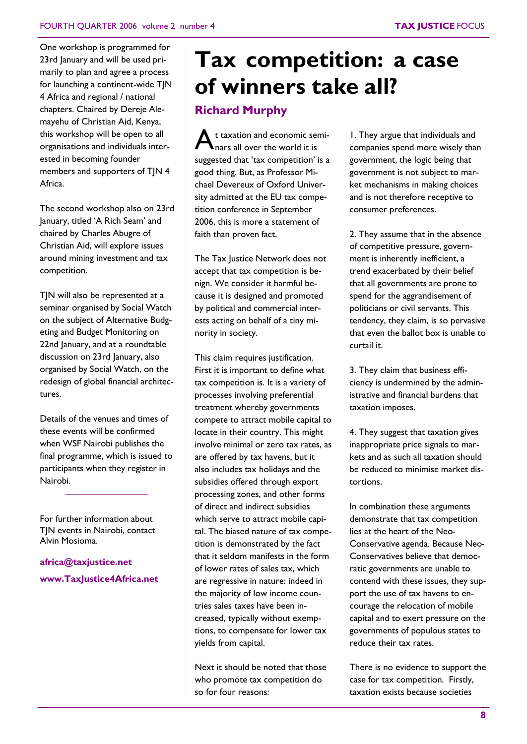One workshop is programmed for 23rd January and will be used primarily to plan and agree a process for launching a continent-wide TIN 4 Africa and regional / national chapters. Chaired by Dereje Alemayehu of Christian Aid, Kenya, this workshop will be open to all organisations and individuals interested in becoming founder members and supporters of TJN 4 Africa.

The second workshop also on 23rd January, titled 'A Rich Seam' and chaired by Charles Abugre of Christian Aid, will explore issues around mining investment and tax competition.

TJN will also be represented at a seminar organised by Social Watch on the subject of Alternative Budgeting and Budget Monitoring on 22nd January, and at a roundtable discussion on 23rd January, also organised by Social Watch, on the redesign of global financial architectures.

Details of the venues and times of these events will be confirmed when WSF Nairobi publishes the final programme, which is issued to participants when they register in Nairobi.

For further information about TJN events in Nairobi, contact Alvin Mosioma.

**africa@taxjustice.net www.TaxJustice4Africa.net**

## **Tax competition: a case of winners take all?**

### **Richard Murphy**

A t taxation and economic seminars all over the world it is suggested that 'tax competition' is a good thing. But, as Professor Michael Devereux of Oxford University admitted at the EU tax competition conference in September 2006, this is more a statement of faith than proven fact.

The Tax Justice Network does not accept that tax competition is benign. We consider it harmful because it is designed and promoted by political and commercial interests acting on behalf of a tiny minority in society.

This claim requires justification. First it is important to define what tax competition is. It is a variety of processes involving preferential treatment whereby governments compete to attract mobile capital to locate in their country. This might involve minimal or zero tax rates, as are offered by tax havens, but it also includes tax holidays and the subsidies offered through export processing zones, and other forms of direct and indirect subsidies which serve to attract mobile capital. The biased nature of tax competition is demonstrated by the fact that it seldom manifests in the form of lower rates of sales tax, which are regressive in nature: indeed in the majority of low income countries sales taxes have been increased, typically without exemptions, to compensate for lower tax yields from capital.

Next it should be noted that those who promote tax competition do so for four reasons:

1. They argue that individuals and companies spend more wisely than government, the logic being that government is not subject to market mechanisms in making choices and is not therefore receptive to consumer preferences.

2. They assume that in the absence of competitive pressure, government is inherently inefficient, a trend exacerbated by their belief that all governments are prone to spend for the aggrandisement of politicians or civil servants. This tendency, they claim, is so pervasive that even the ballot box is unable to curtail it.

3. They claim that business efficiency is undermined by the administrative and financial burdens that taxation imposes.

4. They suggest that taxation gives inappropriate price signals to markets and as such all taxation should be reduced to minimise market distortions.

In combination these arguments demonstrate that tax competition lies at the heart of the Neo-Conservative agenda. Because Neo-Conservatives believe that democratic governments are unable to contend with these issues, they support the use of tax havens to encourage the relocation of mobile capital and to exert pressure on the governments of populous states to reduce their tax rates.

There is no evidence to support the case for tax competition. Firstly, taxation exists because societies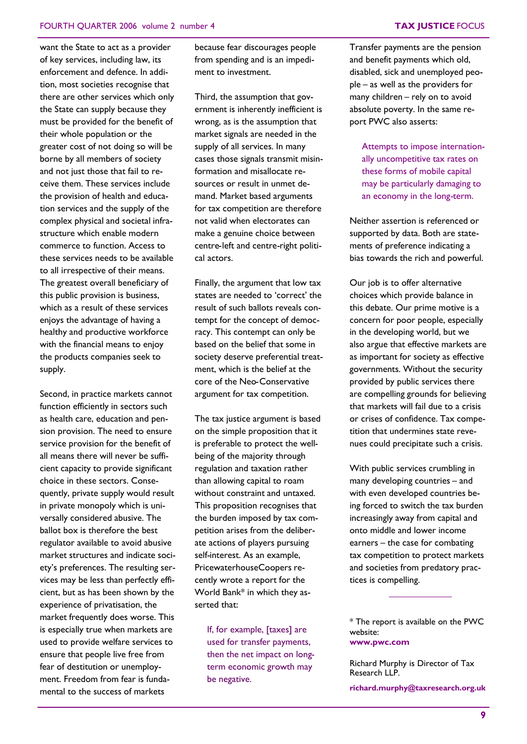want the State to act as a provider of key services, including law, its enforcement and defence. In addition, most societies recognise that there are other services which only the State can supply because they must be provided for the benefit of their whole population or the greater cost of not doing so will be borne by all members of society and not just those that fail to receive them. These services include the provision of health and education services and the supply of the complex physical and societal infrastructure which enable modern commerce to function. Access to these services needs to be available to all irrespective of their means. The greatest overall beneficiary of this public provision is business, which as a result of these services enjoys the advantage of having a healthy and productive workforce with the financial means to enjoy the products companies seek to supply.

Second, in practice markets cannot function efficiently in sectors such as health care, education and pension provision. The need to ensure service provision for the benefit of all means there will never be sufficient capacity to provide significant choice in these sectors. Consequently, private supply would result in private monopoly which is universally considered abusive. The ballot box is therefore the best regulator available to avoid abusive market structures and indicate society's preferences. The resulting services may be less than perfectly efficient, but as has been shown by the experience of privatisation, the market frequently does worse. This is especially true when markets are used to provide welfare services to ensure that people live free from fear of destitution or unemployment. Freedom from fear is fundamental to the success of markets

because fear discourages people from spending and is an impediment to investment.

Third, the assumption that government is inherently inefficient is wrong, as is the assumption that market signals are needed in the supply of all services. In many cases those signals transmit misinformation and misallocate resources or result in unmet demand. Market based arguments for tax competition are therefore not valid when electorates can make a genuine choice between centre-left and centre-right political actors.

Finally, the argument that low tax states are needed to 'correct' the result of such ballots reveals contempt for the concept of democracy. This contempt can only be based on the belief that some in society deserve preferential treatment, which is the belief at the core of the Neo-Conservative argument for tax competition.

The tax justice argument is based on the simple proposition that it is preferable to protect the wellbeing of the majority through regulation and taxation rather than allowing capital to roam without constraint and untaxed. This proposition recognises that the burden imposed by tax competition arises from the deliberate actions of players pursuing self-interest. As an example, PricewaterhouseCoopers recently wrote a report for the World Bank\* in which they asserted that:

If, for example, [taxes] are used for transfer payments, then the net impact on longterm economic growth may be negative.

Transfer payments are the pension and benefit payments which old, disabled, sick and unemployed people – as well as the providers for many children – rely on to avoid absolute poverty. In the same report PWC also asserts:

Attempts to impose internationally uncompetitive tax rates on these forms of mobile capital may be particularly damaging to an economy in the long-term.

Neither assertion is referenced or supported by data. Both are statements of preference indicating a bias towards the rich and powerful.

Our job is to offer alternative choices which provide balance in this debate. Our prime motive is a concern for poor people, especially in the developing world, but we also argue that effective markets are as important for society as effective governments. Without the security provided by public services there are compelling grounds for believing that markets will fail due to a crisis or crises of confidence. Tax competition that undermines state revenues could precipitate such a crisis.

With public services crumbling in many developing countries – and with even developed countries being forced to switch the tax burden increasingly away from capital and onto middle and lower income earners – the case for combating tax competition to protect markets and societies from predatory practices is compelling.

\* The report is available on the PWC website: **www.pwc.com**

Richard Murphy is Director of Tax Research LLP.

**richard.murphy@taxresearch.org.uk**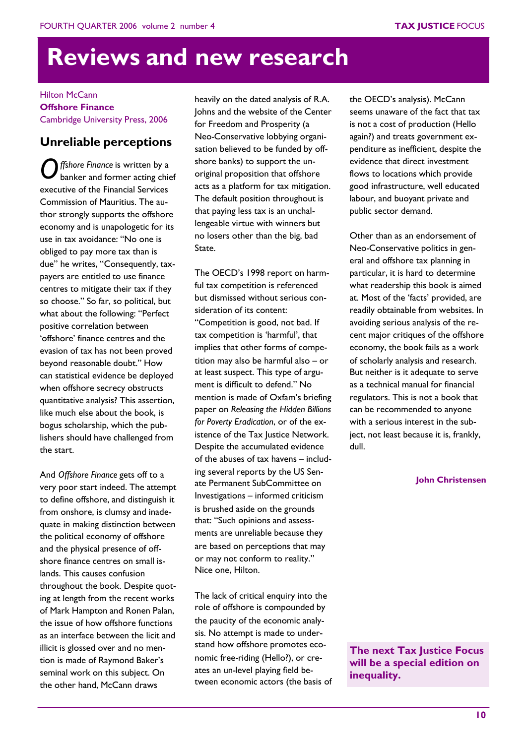## **Reviews and new research**

Hilton McCann **Offshore Finance** Cambridge University Press, 2006

### **Unreliable perceptions**

*O ffshore Finance* is written by a banker and former acting chief executive of the Financial Services Commission of Mauritius. The author strongly supports the offshore economy and is unapologetic for its use in tax avoidance: "No one is obliged to pay more tax than is due" he writes, "Consequently, taxpayers are entitled to use finance centres to mitigate their tax if they so choose." So far, so political, but what about the following: "Perfect positive correlation between 'offshore' finance centres and the evasion of tax has not been proved beyond reasonable doubt." How can statistical evidence be deployed when offshore secrecy obstructs quantitative analysis? This assertion, like much else about the book, is bogus scholarship, which the publishers should have challenged from the start.

And *Offshore Finance* gets off to a very poor start indeed. The attempt to define offshore, and distinguish it from onshore, is clumsy and inadequate in making distinction between the political economy of offshore and the physical presence of offshore finance centres on small islands. This causes confusion throughout the book. Despite quoting at length from the recent works of Mark Hampton and Ronen Palan, the issue of how offshore functions as an interface between the licit and illicit is glossed over and no mention is made of Raymond Baker's seminal work on this subject. On the other hand, McCann draws

heavily on the dated analysis of R.A. Johns and the website of the Center for Freedom and Prosperity (a Neo-Conservative lobbying organisation believed to be funded by offshore banks) to support the unoriginal proposition that offshore acts as a platform for tax mitigation. The default position throughout is that paying less tax is an unchallengeable virtue with winners but no losers other than the big, bad State.

The OECD's 1998 report on harmful tax competition is referenced but dismissed without serious consideration of its content: "Competition is good, not bad. If tax competition is 'harmful', that implies that other forms of competition may also be harmful also – or at least suspect. This type of argument is difficult to defend." No mention is made of Oxfam's briefing paper on *Releasing the Hidden Billions for Poverty Eradication*, or of the existence of the Tax Justice Network. Despite the accumulated evidence of the abuses of tax havens – including several reports by the US Senate Permanent SubCommittee on Investigations – informed criticism is brushed aside on the grounds that: "Such opinions and assessments are unreliable because they are based on perceptions that may or may not conform to reality." Nice one, Hilton.

The lack of critical enquiry into the role of offshore is compounded by the paucity of the economic analysis. No attempt is made to understand how offshore promotes economic free-riding (Hello?), or creates an un-level playing field between economic actors (the basis of the OECD's analysis). McCann seems unaware of the fact that tax is not a cost of production (Hello again?) and treats government expenditure as inefficient, despite the evidence that direct investment flows to locations which provide good infrastructure, well educated labour, and buoyant private and public sector demand.

Other than as an endorsement of Neo-Conservative politics in general and offshore tax planning in particular, it is hard to determine what readership this book is aimed at. Most of the 'facts' provided, are readily obtainable from websites. In avoiding serious analysis of the recent major critiques of the offshore economy, the book fails as a work of scholarly analysis and research. But neither is it adequate to serve as a technical manual for financial regulators. This is not a book that can be recommended to anyone with a serious interest in the subject, not least because it is, frankly, dull.

#### **John Christensen**

**The next Tax Justice Focus will be a special edition on inequality.**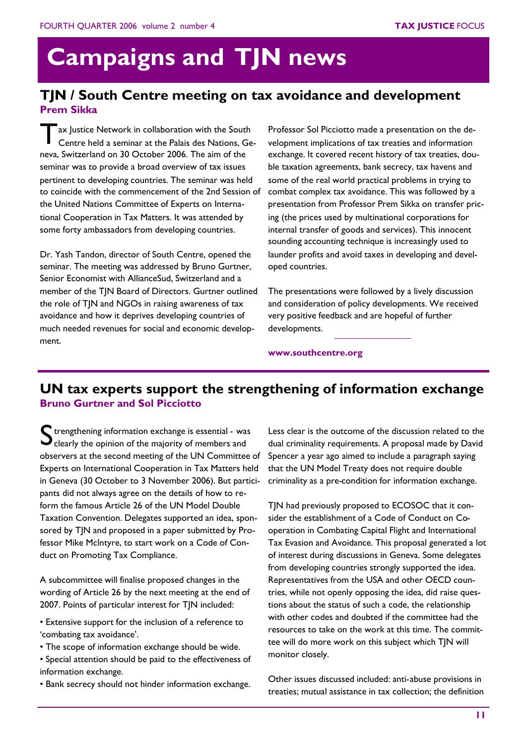# **Campaigns and TJN news**

### **TJN / South Centre meeting on tax avoidance and development Prem Sikka**

T ax Justice Network in collaboration with the South Centre held a seminar at the Palais des Nations, Geneva, Switzerland on 30 October 2006. The aim of the seminar was to provide a broad overview of tax issues pertinent to developing countries. The seminar was held to coincide with the commencement of the 2nd Session of the United Nations Committee of Experts on International Cooperation in Tax Matters. It was attended by some forty ambassadors from developing countries.

Dr. Yash Tandon, director of South Centre, opened the seminar. The meeting was addressed by Bruno Gurtner, Senior Economist with AllianceSud, Switzerland and a member of the TJN Board of Directors. Gurtner outlined the role of TJN and NGOs in raising awareness of tax avoidance and how it deprives developing countries of much needed revenues for social and economic development.

Professor Sol Picciotto made a presentation on the development implications of tax treaties and information exchange. It covered recent history of tax treaties, double taxation agreements, bank secrecy, tax havens and some of the real world practical problems in trying to combat complex tax avoidance. This was followed by a presentation from Professor Prem Sikka on transfer pricing (the prices used by multinational corporations for internal transfer of goods and services). This innocent sounding accounting technique is increasingly used to launder profits and avoid taxes in developing and developed countries.

The presentations were followed by a lively discussion and consideration of policy developments. We received very positive feedback and are hopeful of further developments.

**www.southcentre.org**

## **UN tax experts support the strengthening of information exchange Bruno Gurtner and Sol Picciotto**

S trengthening information exchange is essential - was<br>S clearly the opinion of the majority of members and  $\mathbf{J}$  clearly the opinion of the majority of members and observers at the second meeting of the UN Committee of Experts on International Cooperation in Tax Matters held in Geneva (30 October to 3 November 2006). But participants did not always agree on the details of how to reform the famous Article 26 of the UN Model Double Taxation Convention. Delegates supported an idea, sponsored by TJN and proposed in a paper submitted by Professor Mike McIntyre, to start work on a Code of Conduct on Promoting Tax Compliance.

A subcommittee will finalise proposed changes in the wording of Article 26 by the next meeting at the end of 2007. Points of particular interest for TJN included:

- Extensive support for the inclusion of a reference to 'combating tax avoidance'.
- The scope of information exchange should be wide.
- Special attention should be paid to the effectiveness of information exchange.
- Bank secrecy should not hinder information exchange.

Less clear is the outcome of the discussion related to the dual criminality requirements. A proposal made by David Spencer a year ago aimed to include a paragraph saying that the UN Model Treaty does not require double criminality as a pre-condition for information exchange.

TIN had previously proposed to ECOSOC that it consider the establishment of a Code of Conduct on Cooperation in Combating Capital Flight and International Tax Evasion and Avoidance. This proposal generated a lot of interest during discussions in Geneva. Some delegates from developing countries strongly supported the idea. Representatives from the USA and other OECD countries, while not openly opposing the idea, did raise questions about the status of such a code, the relationship with other codes and doubted if the committee had the resources to take on the work at this time. The committee will do more work on this subject which TJN will monitor closely.

Other issues discussed included: anti-abuse provisions in treaties; mutual assistance in tax collection; the definition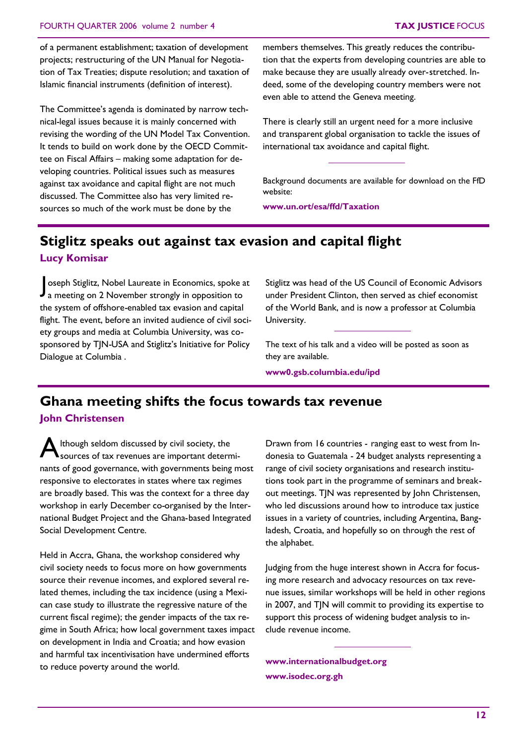of a permanent establishment; taxation of development projects; restructuring of the UN Manual for Negotiation of Tax Treaties; dispute resolution; and taxation of Islamic financial instruments (definition of interest).

The Committee's agenda is dominated by narrow technical-legal issues because it is mainly concerned with revising the wording of the UN Model Tax Convention. It tends to build on work done by the OECD Committee on Fiscal Affairs – making some adaptation for developing countries. Political issues such as measures against tax avoidance and capital flight are not much discussed. The Committee also has very limited resources so much of the work must be done by the

members themselves. This greatly reduces the contribution that the experts from developing countries are able to make because they are usually already over-stretched. Indeed, some of the developing country members were not even able to attend the Geneva meeting.

There is clearly still an urgent need for a more inclusive and transparent global organisation to tackle the issues of international tax avoidance and capital flight.

Background documents are available for download on the FfD website:

**www.un.ort/esa/ffd/Taxation**

## **Stiglitz speaks out against tax evasion and capital flight**

**Lucy Komisar**

Soseph Stiglitz, Nobel Laureate in Economics, spoke a<br>a meeting on 2 November strongly in opposition to oseph Stiglitz, Nobel Laureate in Economics, spoke at the system of offshore-enabled tax evasion and capital flight. The event, before an invited audience of civil society groups and media at Columbia University, was cosponsored by TJN-USA and Stiglitz's Initiative for Policy Dialogue at Columbia .

Stiglitz was head of the US Council of Economic Advisors under President Clinton, then served as chief economist of the World Bank, and is now a professor at Columbia University.

The text of his talk and a video will be posted as soon as they are available.

**www0.gsb.columbia.edu/ipd**

### **Ghana meeting shifts the focus towards tax revenue**

### **John Christensen**

A Ithough seldom discussed by civil society, the<br>Sources of tax revenues are important deterr  $\blacktriangle$ sources of tax revenues are important determinants of good governance, with governments being most responsive to electorates in states where tax regimes are broadly based. This was the context for a three day workshop in early December co-organised by the International Budget Project and the Ghana-based Integrated Social Development Centre.

Held in Accra, Ghana, the workshop considered why civil society needs to focus more on how governments source their revenue incomes, and explored several related themes, including the tax incidence (using a Mexican case study to illustrate the regressive nature of the current fiscal regime); the gender impacts of the tax regime in South Africa; how local government taxes impact on development in India and Croatia; and how evasion and harmful tax incentivisation have undermined efforts to reduce poverty around the world.

Drawn from 16 countries - ranging east to west from Indonesia to Guatemala - 24 budget analysts representing a range of civil society organisations and research institutions took part in the programme of seminars and breakout meetings. TJN was represented by John Christensen, who led discussions around how to introduce tax justice issues in a variety of countries, including Argentina, Bangladesh, Croatia, and hopefully so on through the rest of the alphabet.

Judging from the huge interest shown in Accra for focusing more research and advocacy resources on tax revenue issues, similar workshops will be held in other regions in 2007, and TJN will commit to providing its expertise to support this process of widening budget analysis to include revenue income.

**www.internationalbudget.org www.isodec.org.gh**